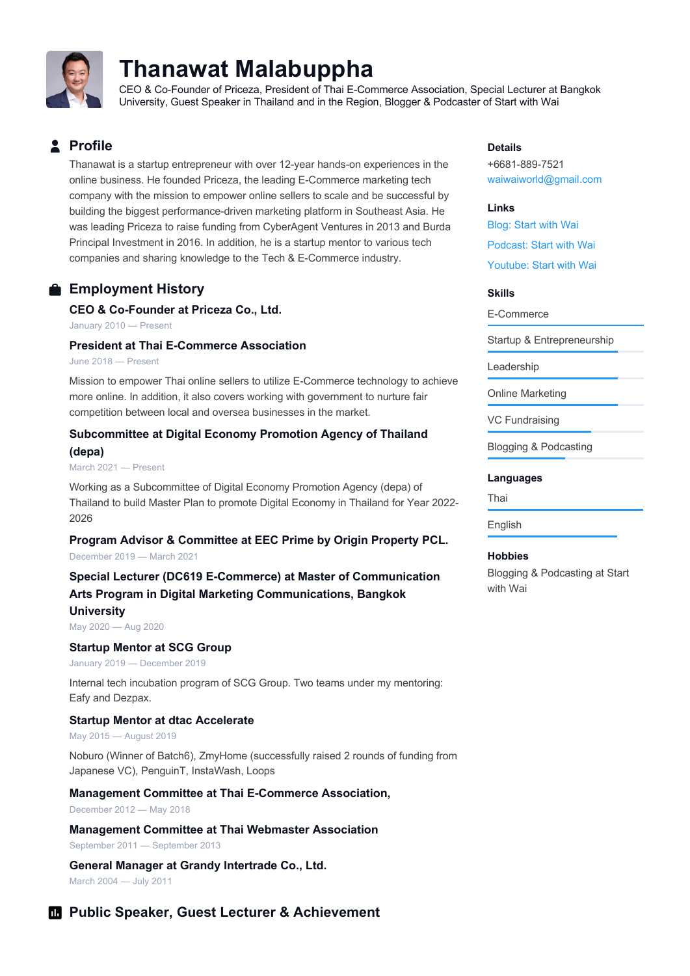

# **Thanawat Malabuppha**

CEO & Co-Founder of Priceza, President of Thai E-Commerce Association, Special Lecturer at Bangkok University, Guest Speaker in Thailand and in the Region, Blogger & Podcaster of Start with Wai

# **Profile**

Thanawat is a startup entrepreneur with over 12-year hands-on experiences in the online business. He founded Priceza, the leading E-Commerce marketing tech company with the mission to empower online sellers to scale and be successful by building the biggest performance-driven marketing platform in Southeast Asia. He was leading Priceza to raise funding from CyberAgent Ventures in 2013 and Burda Principal Investment in 2016. In addition, he is a startup mentor to various tech companies and sharing knowledge to the Tech & E-Commerce industry.

# **Employment History**

## **CEO & Co-Founder at Priceza Co., Ltd.**

January 2010 — Present

#### **President at Thai E-Commerce Association**

June 2018 — Present

Mission to empower Thai online sellers to utilize E-Commerce technology to achieve more online. In addition, it also covers working with government to nurture fair competition between local and oversea businesses in the market.

## **Subcommittee at Digital Economy Promotion Agency of Thailand (depa)**

March 2021 — Present

Working as a Subcommittee of Digital Economy Promotion Agency (depa) of Thailand to build Master Plan to promote Digital Economy in Thailand for Year 2022- 2026

# **Program Advisor & Committee at EEC Prime by Origin Property PCL.**

December 2019 — March 2021

# **Special Lecturer (DC619 E-Commerce) at Master of Communication Arts Program in Digital Marketing Communications, Bangkok University**

May 2020 — Aug 2020

#### **Startup Mentor at SCG Group**

January 2019 — December 2019

Internal tech incubation program of SCG Group. Two teams under my mentoring: Eafy and Dezpax.

## **Startup Mentor at dtac Accelerate**

May 2015 — August 2019

Noburo (Winner of Batch6), ZmyHome (successfully raised 2 rounds of funding from Japanese VC), PenguinT, InstaWash, Loops

## **Management Committee at Thai E-Commerce Association,**

December 2012 — May 2018

**Management Committee at Thai Webmaster Association** September 2011 — September 2013

**General Manager at Grandy Intertrade Co., Ltd.** March 2004 — July 2011

# **Public Speaker, Guest Lecturer & Achievement**

#### **Details**

+6681-889-7521 waiwaiworld@gmail.com

#### **Links**

Blog: Start with Wai Podcast: Start with Wai Youtube: Start with Wai

#### **Skills**

E-Commerce

Startup & Entrepreneurship

Leadership

Online Marketing

VC Fundraising

Blogging & Podcasting

#### **Languages**

Thai

#### English

#### **Hobbies**

Blogging & Podcasting at Start with Wai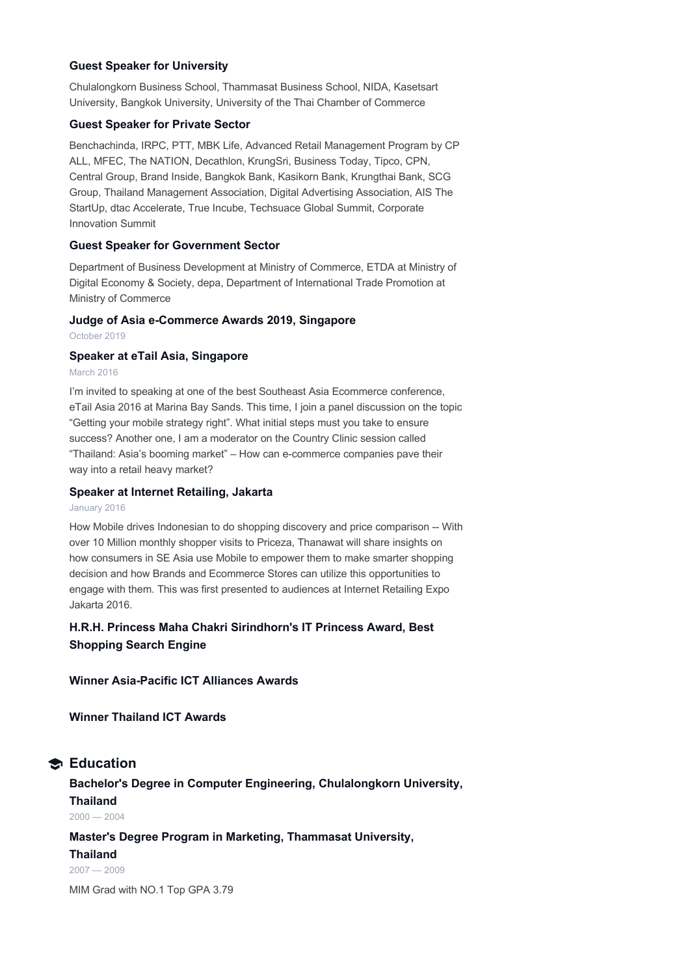#### **Guest Speaker for University**

Chulalongkorn Business School, Thammasat Business School, NIDA, Kasetsart University, Bangkok University, University of the Thai Chamber of Commerce

#### **Guest Speaker for Private Sector**

Benchachinda, IRPC, PTT, MBK Life, Advanced Retail Management Program by CP ALL, MFEC, The NATION, Decathlon, KrungSri, Business Today, Tipco, CPN, Central Group, Brand Inside, Bangkok Bank, Kasikorn Bank, Krungthai Bank, SCG Group, Thailand Management Association, Digital Advertising Association, AIS The StartUp, dtac Accelerate, True Incube, Techsuace Global Summit, Corporate Innovation Summit

#### **Guest Speaker for Government Sector**

Department of Business Development at Ministry of Commerce, ETDA at Ministry of Digital Economy & Society, depa, Department of International Trade Promotion at Ministry of Commerce

#### **Judge of Asia e-Commerce Awards 2019, Singapore**

October 2019

#### **Speaker at eTail Asia, Singapore**

#### March 2016

I'm invited to speaking at one of the best Southeast Asia Ecommerce conference, eTail Asia 2016 at Marina Bay Sands. This time, I join a panel discussion on the topic "Getting your mobile strategy right". What initial steps must you take to ensure success? Another one, I am a moderator on the Country Clinic session called "Thailand: Asia's booming market" – How can e-commerce companies pave their way into a retail heavy market?

#### **Speaker at Internet Retailing, Jakarta**

#### January 2016

How Mobile drives Indonesian to do shopping discovery and price comparison -- With over 10 Million monthly shopper visits to Priceza, Thanawat will share insights on how consumers in SE Asia use Mobile to empower them to make smarter shopping decision and how Brands and Ecommerce Stores can utilize this opportunities to engage with them. This was first presented to audiences at Internet Retailing Expo Jakarta 2016.

# **H.R.H. Princess Maha Chakri Sirindhorn's IT Princess Award, Best Shopping Search Engine**

## **Winner Asia-Pacific ICT Alliances Awards**

**Winner Thailand ICT Awards**

# **Education**

# **Bachelor's Degree in Computer Engineering, Chulalongkorn University, Thailand**

 $2000 - 2004$ 

## **Master's Degree Program in Marketing, Thammasat University,**

**Thailand** 2007 — 2009

MIM Grad with NO.1 Top GPA 3.79